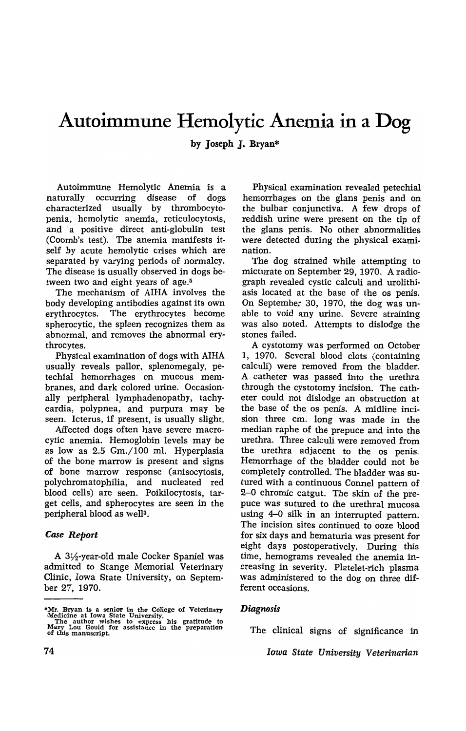# **Autoimmune Hemolytic** Anemia in **a Dog**

by Joseph J. Bryan\*

Autoimmune Hemolytic Anemia is a naturally occurring disease of dogs characterized usually by thrombocytopenia, hemolytic anemja, reticulocytosis, and a positive direct anti-globulin test (Coomb's test). The anemia manifests itself by acute hemolytic crises which are separated by varying periods of normalcy. The disease is usually observed in dogs between two and eight years of age.<sup>5</sup>

The mechanism of AIHA involves the body developing antibodies against its own erythrocytes. The erythrocytes become spherocytic, the spleen recognizes them as abnormal, and removes the abnormal erythrocytes.

Physical examination of dogs with AIHA usually reveals pallor, splenomegaly, petechial hemorrhages on mucous membranes, and dark colored urine. Occasionally peripheral lymphadenopathy, tachycardia, polypnea, and purpura may be seen. Icterus, if present, is usually slight.

Affected dogs often have severe macrocytic anemia. Hemoglobin levels may be as low as 2.5 Gm./100 ml. Hyperplasia of the bone marrow is present and signs of bone marrow response (anisocytosis, polychromatophilia, and nucleated red blood cells) are seen. Poikilocytosis, target cells, and spherocytes are seen in the peripheral blood as well<sup>3</sup>.

## *Case Report*

A 31/2-year-old male Cocker Spaniel was admitted to Stange Memorial Veterinary Clinic, Iowa State University, on September 27, 1970.

Physical examination revealed petechial hemorrhages on the glans penis and on the bulbar conjunctiva. A few drops of reddish urine were present on the tip of the glans penis. No other abnormalities were detected during the physical examination.

The dog strained while attempting to micturate on September 29, 1970. A radiograph revealed cystic calculi and urolithiasis located at the base of the os penis. On September 30, 1970, the dog was unable to void any urine. Severe straining was also noted. Attempts to dislodge the stones failed.

A cystotomy was performed on October 1, 1970. Several blood clots (containing calculi) were removed from the bladder. A catheter was passed into the urethra through the cystotomy incision. The catheter could not dislodge an obstruction at the base of the os penis. A midline incision three cm. long was made in the median raphe of the prepuce and into the urethra. Three calculi were removed from the urethra adjacent to the os penis. Hemorrhage of the bladder could not be completely controlled. The bladder was sutured with a continuous Connel pattern of 2-0 chromic catgut. The skin of the prepuce was sutured to the urethral mucosa using 4-0 silk in an interrupted pattern. The incision sites continued to ooze blood for six days and hematuria was present for eight days postoperatively. During this time, hemograms revealed the anemia increasing in severity. Platelet-rich plasma was administered to the dog on three different occasions.

## *Diagnosis*

The clinical signs of significance in

*Iowa State University Veterinarian* 

<sup>\*</sup>Mr. Bryan isa senior in the College of Veterinary Medicine at Iowa State University. The author wishes to express his gratitude to Mary Lou Gould for assistance in the preparation of this manuscript.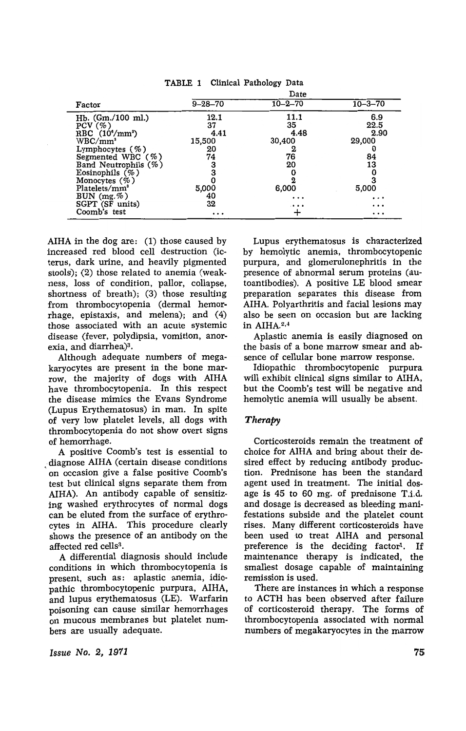|  |  |  | TABLE 1 Clinical Pathology Data |  |
|--|--|--|---------------------------------|--|
|--|--|--|---------------------------------|--|

|                                                                                                                                                                                                                                                    |                                                                   | Date                                                               |                                                                |
|----------------------------------------------------------------------------------------------------------------------------------------------------------------------------------------------------------------------------------------------------|-------------------------------------------------------------------|--------------------------------------------------------------------|----------------------------------------------------------------|
| Factor                                                                                                                                                                                                                                             | $9 - 28 - 70$                                                     | $10 - 2 - 70$                                                      | $10 - 3 - 70$                                                  |
| $Hb.$ (Gm./100 ml.)<br>PCV(%)<br>RBC $(10^{\circ}/\text{mm}^3)$<br>$\rm WBC/mm^3$<br>Lymphocytes $(\% )$<br>Segmented WBC $(\%)$<br>Band Neutrophils (%)<br>Eosinophils $(\% )$<br>Monocytes $(\% )$<br>Platelets/mm <sup>3</sup><br>BUN $(mg.\%)$ | 12.1<br>37<br>4.41<br>15,500<br>20<br>74<br>3<br>3<br>5,000<br>40 | 11.1<br>35<br>4.48<br>30,400<br>2<br>76<br>20<br>6,000<br>$\cdots$ | 6.9<br>22.5<br>2.90<br>29,000<br>84<br>13<br>5,000<br>$\cdots$ |
| SGPT (SF units)<br>Coomb's test                                                                                                                                                                                                                    | 32<br>$\cdots$                                                    | $\cdots$                                                           | $\cdots$<br>.                                                  |

AlHA in the dog are: (1) those caused by increased red blood cell destruction (icterus, dark urine, and heavily pigmented stools); (2) those related to anemia (weakness, loss of condition, pallor, collapse, shortness of breath); (3) those resulting from thrombocytopenia (dermal hemorrhage, epistaxis, and melena); and (4) those associated with an acute systemic disease (fever, polydipsia, vomition, anorexia, and diarrhea $)^3$ .

Although adequate numbers of megakaryocytes are present in the bone marrow, the majority of dogs with AlHA have thrombocytopenia. In this respect the disease mimics the Evans Syndrome (Lupus Erythematosus) in man. In spite of very low platelet levels, all dogs with thrombocytopenia do not show overt signs of hemorrhage.

A positive Coomb's test is essential to diagnose AIHA (certain disease conditions 'on occasion give a false positive Coomb's test but clinical signs separate them from AlHA). An antibody capable of sensitizing washed erythrocytes of normal dogs can be eluted from the surface of erythrocytes in AlHA. This procedure clearly shows the presence of an antibody on the affected red cells<sup>3</sup>.

A differential diagnosis should include conditions in which thrombocytopenia is present, such as: aplastic anemia, idiopathic thrombocytopenic purpura, AIHA, and lupus erythematosus (LE). Warfarin poisoning can cause similar hemorrhages on mucous membranes but platelet numbers are usually adequate.

Lupus erythematosus is characterized by hemolytic anemia, thrombocytopenic purpura, and glomerulonephritis in the presence of abnormal serum proteins (autoantibodies). A positive LE blood smear preparation separates this disease from AIHA. Polyarthritis and facial lesions may also be seen on occasion but are lacking in AIHA.2,4

Aplastic anemia is easily diagnosed on the basis of a bone marrow smear and absence of cellular bone marrow response.

Idiopathic thrombocytopenic purpura will exhibit clinical signs similar to AIHA, but the Coomb's test will be negative and hemolytic anemia will usually be absent.

## *Therapy*

Corticosteroids remain the treatment of choice for AlHA and bring about their desired effect by reducing antibody production. Prednisone has been the standard agent used in treatment. The initial dosage is 45 to 60 mg. of prednisone T.i.d. and dosage is decreased as bleeding manifestations subside and the platelet count rises. Many different corticosteroids have been used to treat AIHA and personal preference is the deciding factor<sup>t</sup>. If maintenance therapy is indicated, the smallest dosage capable of maintaining remission is used.

There are instances in which a response to ACTH has been observed after failure of corticosteroid therapy. The forms of thrombocytopenia associated with normal numbers of megakaryocytes in the marrow

*Issue No. 2, 1971*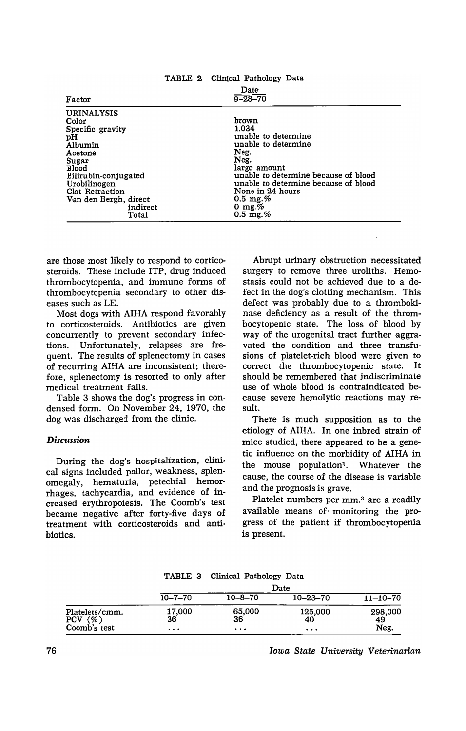| $\frac{1}{2}$                                                                                                                                                                                                |                                                                                                                                                                                                                                                                   |  |  |  |  |
|--------------------------------------------------------------------------------------------------------------------------------------------------------------------------------------------------------------|-------------------------------------------------------------------------------------------------------------------------------------------------------------------------------------------------------------------------------------------------------------------|--|--|--|--|
| Factor                                                                                                                                                                                                       | Date<br>$9 - 28 - 70$                                                                                                                                                                                                                                             |  |  |  |  |
| <b>URINALYSIS</b><br>Color<br>Specific gravity<br>рH<br>Albumin<br>Acetone<br>Sugar<br><b>Blood</b><br>Bilirubin-conjugated<br>Urobilinogen<br>Clot Retraction<br>Van den Bergh, direct<br>indirect<br>Total | brown<br>1.034<br>unable to determine<br>unable to determine<br>Neg.<br>Neg.<br>large amount<br>unable to determine because of blood<br>unable to determine because of blood<br>None in 24 hours<br>$0.5 \,\mathrm{mg.}\%$<br>0 mg. $%$<br>$0.5 \,\mathrm{mg.}\%$ |  |  |  |  |
|                                                                                                                                                                                                              |                                                                                                                                                                                                                                                                   |  |  |  |  |

TABLE 2 Clinical Pathology Data

are those most likely to respond to corticosteroids. These include ITP, drug induced thrombocytopenia, and immune forms of thrombocytopenia secondary to other diseases such as LE.

Most dogs with AIHA respond favorably to corticosteroids. Antibiotics are given concurrently to prevent secondary infections. Unfortunately, relapses are frequent. The results of splenectomy in cases of recurring AIHA are inconsistent; therefore, splenectomy is resorted to only after medical treatment fails.

Table 3 shows the dog's progress in condensed fonn. On November 24, 1970, the dog was discharged from the clinic.

## *Discussion*

During the dog's hospitalization, clinical signs included pallor, weakness, splenomegaly. hematuria, petechial hemorrhages, tachycardia. and evidence of increased erythropoiesis. The Coomb's test became negative after forty-five days of treatment with corticosteroids and antibiotics.

Abrupt urinary obstruction necessitated surgery to remove three uroliths. Hemostasis could not be achieved due to a defect in the dog's clotting mechanism. This defect was probably due to a thrombokinase deficiency as a result of the thrombocytopenic state. The loss of blood by way of the urogenital tract further aggravated the condition and three transfusions of platelet-rich blood were given to correct the thrombocytopenic state. It should be remembered that indiscriminate use of whole blood is contraindicated because severe hemolytic reactions may result.

There is much supposition as to the etiology of AIHA. In one inbred strain of mice studied, there appeared to be a genetic influence on the morbidity of AIHA in the mouse population'. Whatever the cause, the course of the disease is variable and the prognosis is grave.

Platelet numbers per mm.<sup>3</sup> are a readily available means of· monitoring the progress of the patient if thrombocytopenia is present.

|                                                       | Date                     |                          |                           |                       |  |  |
|-------------------------------------------------------|--------------------------|--------------------------|---------------------------|-----------------------|--|--|
|                                                       | $10 - 7 - 70$            | $10 - 8 - 70$            | $10 - 23 - 70$            | $11 - 10 - 70$        |  |  |
| Platelets/cmm.<br>$($ %<br><b>PCV</b><br>Coomb's test | 17,000<br>36<br>$\cdots$ | 65,000<br>36<br>$\cdots$ | 125,000<br>40<br>$\cdots$ | 298,000<br>49<br>Neg. |  |  |

TABLE 3 Clinical Pathology Data

*Iowa State University Veterinarian*